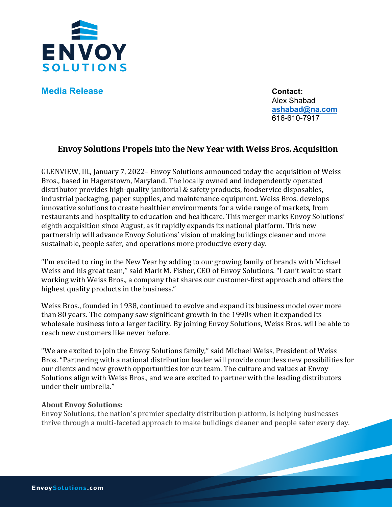

**Media Release Contact:** 

Alex Shabad **[ashabad@na.com](mailto:ashabad@na.com)** 616-610-7917

## **Envoy Solutions Propels into the New Year with Weiss Bros. Acquisition**

GLENVIEW, Ill., January 7, 2022– Envoy Solutions announced today the acquisition of Weiss Bros., based in Hagerstown, Maryland. The locally owned and independently operated distributor provides high-quality janitorial & safety products, foodservice disposables, industrial packaging, paper supplies, and maintenance equipment. Weiss Bros. develops innovative solutions to create healthier environments for a wide range of markets, from restaurants and hospitality to education and healthcare. This merger marks Envoy Solutions' eighth acquisition since August, as it rapidly expands its national platform. This new partnership will advance Envoy Solutions' vision of making buildings cleaner and more sustainable, people safer, and operations more productive every day.

"I'm excited to ring in the New Year by adding to our growing family of brands with Michael Weiss and his great team," said Mark M. Fisher, CEO of Envoy Solutions. "I can't wait to start working with Weiss Bros., a company that shares our customer-first approach and offers the highest quality products in the business."

Weiss Bros., founded in 1938, continued to evolve and expand its business model over more than 80 years. The company saw significant growth in the 1990s when it expanded its wholesale business into a larger facility. By joining Envoy Solutions, Weiss Bros. will be able to reach new customers like never before.

"We are excited to join the Envoy Solutions family," said Michael Weiss, President of Weiss Bros. "Partnering with a national distribution leader will provide countless new possibilities for our clients and new growth opportunities for our team. The culture and values at Envoy Solutions align with Weiss Bros., and we are excited to partner with the leading distributors under their umbrella."

## **About Envoy Solutions:**

Envoy Solutions, the nation's premier specialty distribution platform, is helping businesses thrive through a multi-faceted approach to make buildings cleaner and people safer every day.